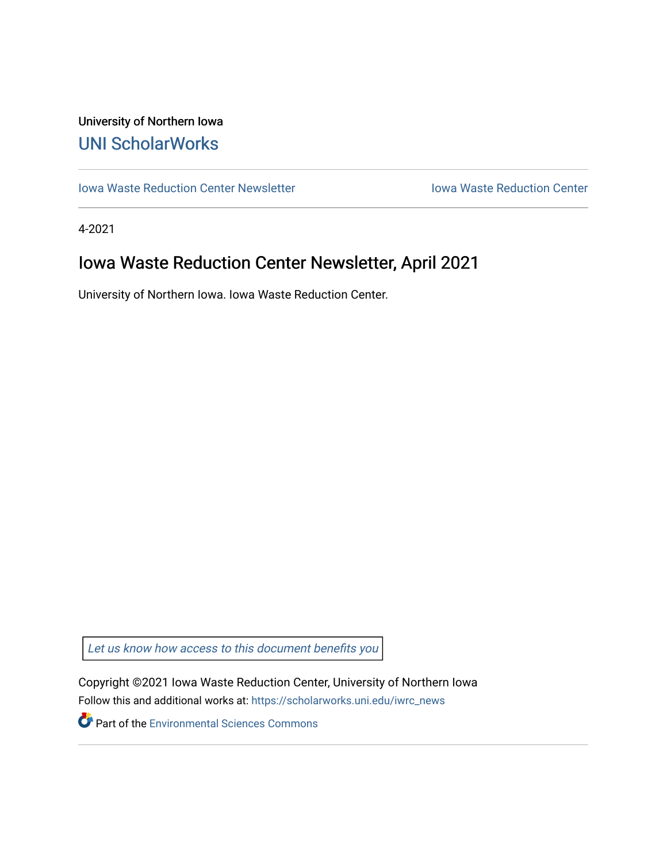## University of Northern Iowa [UNI ScholarWorks](https://scholarworks.uni.edu/)

[Iowa Waste Reduction Center Newsletter](https://scholarworks.uni.edu/iwrc_news) **Internal Communist Communist Center** Iowa Waste Reduction Center

4-2021

# Iowa Waste Reduction Center Newsletter, April 2021

University of Northern Iowa. Iowa Waste Reduction Center.

Let us know how access to this document benefits you

Copyright ©2021 Iowa Waste Reduction Center, University of Northern Iowa Follow this and additional works at: [https://scholarworks.uni.edu/iwrc\\_news](https://scholarworks.uni.edu/iwrc_news?utm_source=scholarworks.uni.edu%2Fiwrc_news%2F52&utm_medium=PDF&utm_campaign=PDFCoverPages) 

**Part of the [Environmental Sciences Commons](http://network.bepress.com/hgg/discipline/167?utm_source=scholarworks.uni.edu%2Fiwrc_news%2F52&utm_medium=PDF&utm_campaign=PDFCoverPages)**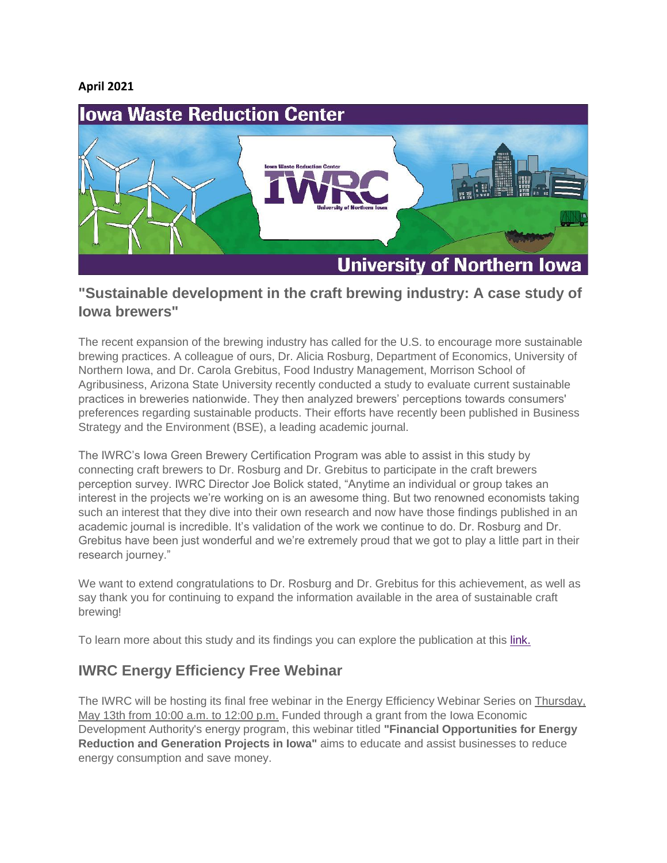#### **April 2021**



#### **"Sustainable development in the craft brewing industry: A case study of Iowa brewers"**

The recent expansion of the brewing industry has called for the U.S. to encourage more sustainable brewing practices. A colleague of ours, Dr. Alicia Rosburg, Department of Economics, University of Northern Iowa, and Dr. Carola Grebitus, Food Industry Management, Morrison School of Agribusiness, Arizona State University recently conducted a study to evaluate current sustainable practices in breweries nationwide. They then analyzed brewers' perceptions towards consumers' preferences regarding sustainable products. Their efforts have recently been published in Business Strategy and the Environment (BSE), a leading academic journal.

The IWRC's Iowa Green Brewery Certification Program was able to assist in this study by connecting craft brewers to Dr. Rosburg and Dr. Grebitus to participate in the craft brewers perception survey. IWRC Director Joe Bolick stated, "Anytime an individual or group takes an interest in the projects we're working on is an awesome thing. But two renowned economists taking such an interest that they dive into their own research and now have those findings published in an academic journal is incredible. It's validation of the work we continue to do. Dr. Rosburg and Dr. Grebitus have been just wonderful and we're extremely proud that we got to play a little part in their research journey."

We want to extend congratulations to Dr. Rosburg and Dr. Grebitus for this achievement, as well as say thank you for continuing to expand the information available in the area of sustainable craft brewing!

To learn more about this study and its findings you can explore the publication at this [link.](https://onlinelibrary.wiley.com/doi/10.1002/bse.2782)

#### **IWRC Energy Efficiency Free Webinar**

The IWRC will be hosting its final free webinar in the Energy Efficiency Webinar Series on Thursday, May 13th from 10:00 a.m. to 12:00 p.m. Funded through a grant from the Iowa Economic Development Authority's energy program, this webinar titled **"Financial Opportunities for Energy Reduction and Generation Projects in Iowa"** aims to educate and assist businesses to reduce energy consumption and save money.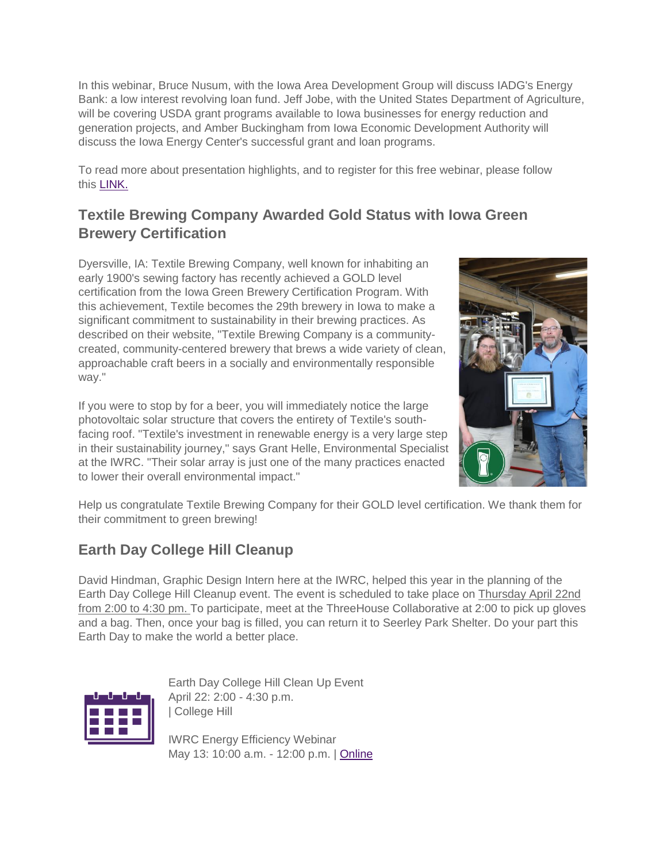In this webinar, Bruce Nusum, with the Iowa Area Development Group will discuss IADG's Energy Bank: a low interest revolving loan fund. Jeff Jobe, with the United States Department of Agriculture, will be covering USDA grant programs available to Iowa businesses for energy reduction and generation projects, and Amber Buckingham from Iowa Economic Development Authority will discuss the Iowa Energy Center's successful grant and loan programs.

To read more about presentation highlights, and to register for this free webinar, please follow this [LINK.](https://iwrc.uni.edu/iowa-energy-efficiency/financial-opportunities-webinar)

### **Textile Brewing Company Awarded Gold Status with Iowa Green Brewery Certification**

Dyersville, IA: Textile Brewing Company, well known for inhabiting an early 1900's sewing factory has recently achieved a GOLD level certification from the Iowa Green Brewery Certification Program. With this achievement, Textile becomes the 29th brewery in Iowa to make a significant commitment to sustainability in their brewing practices. As described on their website, "Textile Brewing Company is a communitycreated, community-centered brewery that brews a wide variety of clean, approachable craft beers in a socially and environmentally responsible way."

If you were to stop by for a beer, you will immediately notice the large photovoltaic solar structure that covers the entirety of Textile's southfacing roof. "Textile's investment in renewable energy is a very large step in their sustainability journey," says Grant Helle, Environmental Specialist at the IWRC. "Their solar array is just one of the many practices enacted to lower their overall environmental impact."



Help us congratulate Textile Brewing Company for their GOLD level certification. We thank them for their commitment to green brewing!

### **Earth Day College Hill Cleanup**

David Hindman, Graphic Design Intern here at the IWRC, helped this year in the planning of the Earth Day College Hill Cleanup event. The event is scheduled to take place on Thursday April 22nd from 2:00 to 4:30 pm. To participate, meet at the ThreeHouse Collaborative at 2:00 to pick up gloves and a bag. Then, once your bag is filled, you can return it to Seerley Park Shelter. Do your part this Earth Day to make the world a better place.



Earth Day College Hill Clean Up Event April 22: 2:00 - 4:30 p.m. | College Hill

IWRC Energy Efficiency Webinar May 13: 10:00 a.m. - 12:00 p.m. | [Online](https://iwrc.uni.edu/iowa-energy-efficiency/financial-opportunities-webinar)